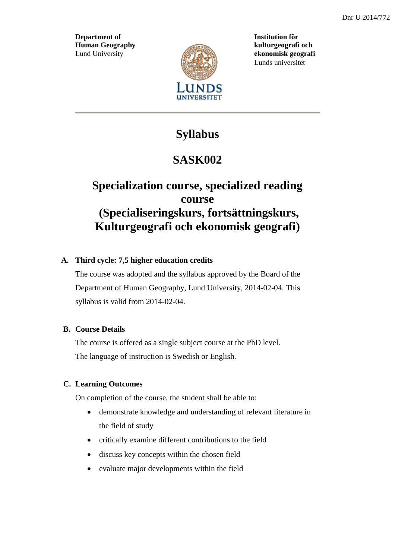**Department of Institution för Human Geography kulturgeografi och** Lund University *example* **ekonomisk geografi** 



Lunds universitet

## **Syllabus**

# **SASK002**

## **Specialization course, specialized reading course (Specialiseringskurs, fortsättningskurs, Kulturgeografi och ekonomisk geografi)**

### **A. Third cycle: 7,5 higher education credits**

The course was adopted and the syllabus approved by the Board of the Department of Human Geography, Lund University, 2014-02-04. This syllabus is valid from 2014-02-04.

### **B. Course Details**

The course is offered as a single subject course at the PhD level. The language of instruction is Swedish or English.

### **C. Learning Outcomes**

On completion of the course, the student shall be able to:

- demonstrate knowledge and understanding of relevant literature in the field of study
- critically examine different contributions to the field
- discuss key concepts within the chosen field
- evaluate major developments within the field